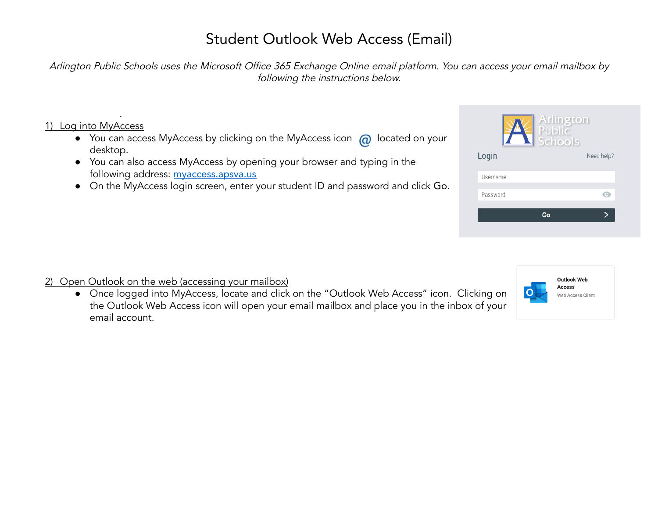# Student Outlook Web Access (Email)

Arlington Public Schools uses the Microsoft Office <sup>365</sup> Exchange Online email platform. You can access your email mailbox by following the instructions below.

#### 1) Log into MyAccess

.

- $\bullet$  You can access MyAccess by clicking on the MyAccess icon  $\omega$  located on your desktop.
- You can also access MyAccess by opening your browser and typing in the following address: [myaccess.apsva.us](https://myaccess.apsva.us)
- On the MyAccess login screen, enter your student ID and password and click Go.

| Arlington<br>Public<br>Schools |
|--------------------------------|
| Need help?                     |
|                                |
|                                |
|                                |
|                                |



### 2) Open Outlook on the web (accessing your mailbox)

● Once logged into MyAccess, locate and click on the "Outlook Web Access" icon. Clicking on the Outlook Web Access icon will open your email mailbox and place you in the inbox of your email account.